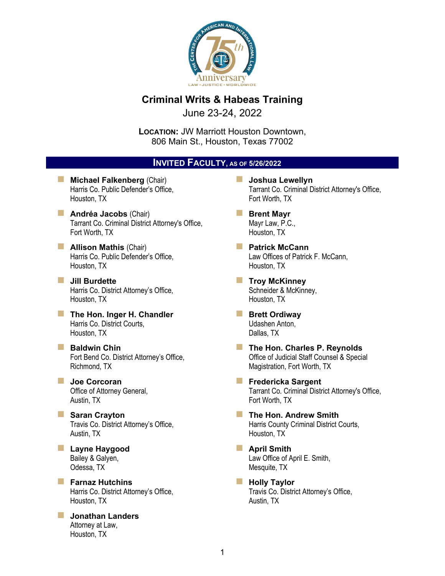

## **Criminal Writs & Habeas Training**

June 23-24, 2022

**LOCATION:** JW Marriott Houston Downtown, 806 Main St., Houston, Texas 77002

#### **INVITED FACULTY, AS OF 5/26/2022**

- **Michael Falkenberg (Chair)** Harris Co. Public Defender's Office, Houston, TX
- **Andréa Jacobs** (Chair) Tarrant Co. Criminal District Attorney's Office, Fort Worth, TX
- **Allison Mathis (Chair)** Harris Co. Public Defender's Office, Houston, TX
- **Jill Burdette**  Harris Co. District Attorney's Office, Houston, TX
- **The Hon. Inger H. Chandler** Harris Co. District Courts, Houston, TX
- **Baldwin Chin** Fort Bend Co. District Attorney's Office, Richmond, TX
- **Joe Corcoran**  Office of Attorney General, Austin, TX
- **Saran Crayton** Travis Co. District Attorney's Office, Austin, TX
- **Layne Haygood**  Bailey & Galyen, Odessa, TX
- **Farnaz Hutchins** Harris Co. District Attorney's Office, Houston, TX
- **Jonathan Landers**  Attorney at Law, Houston, TX
- **Joshua Lewellyn**  Tarrant Co. Criminal District Attorney's Office, Fort Worth, TX
- **Brent Mayr**  Mayr Law, P.C., Houston, TX
- **Patrick McCann** Law Offices of Patrick F. McCann, Houston, TX
- **Troy McKinney** Schneider & McKinney, Houston, TX
- **Brett Ordiway** Udashen Anton, Dallas, TX
- **The Hon. Charles P. Reynolds** Office of Judicial Staff Counsel & Special Magistration, Fort Worth, TX
- **Fredericka Sargent** Tarrant Co. Criminal District Attorney's Office, Fort Worth, TX
- **The Hon. Andrew Smith** Harris County Criminal District Courts, Houston, TX
- **April Smith**  Law Office of April E. Smith, Mesquite, TX
- **Holly Taylor** Travis Co. District Attorney's Office, Austin, TX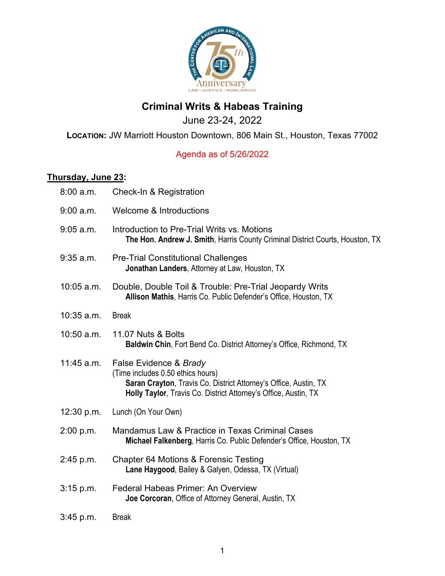

# **Criminal Writs & Habeas Training**

June 23-24, 2022

#### **LOCATION:** JW Marriott Houston Downtown, 806 Main St., Houston, Texas 77002

## Agenda as of 5/26/2022

## **Thursday, June 23:**

| 8:00 a.m.    | Check-In & Registration                                                                                                                                                                            |
|--------------|----------------------------------------------------------------------------------------------------------------------------------------------------------------------------------------------------|
| 9:00 a.m.    | <b>Welcome &amp; Introductions</b>                                                                                                                                                                 |
| $9:05$ a.m.  | Introduction to Pre-Trial Writs vs. Motions<br>The Hon. Andrew J. Smith, Harris County Criminal District Courts, Houston, TX                                                                       |
| $9:35$ a.m.  | <b>Pre-Trial Constitutional Challenges</b><br>Jonathan Landers, Attorney at Law, Houston, TX                                                                                                       |
| 10:05 a.m.   | Double, Double Toil & Trouble: Pre-Trial Jeopardy Writs<br>Allison Mathis, Harris Co. Public Defender's Office, Houston, TX                                                                        |
| $10:35$ a.m. | <b>Break</b>                                                                                                                                                                                       |
| 10:50 a.m.   | 11.07 Nuts & Bolts<br><b>Baldwin Chin, Fort Bend Co. District Attorney's Office, Richmond, TX</b>                                                                                                  |
| 11:45 a.m.   | False Evidence & Brady<br>(Time includes 0.50 ethics hours)<br>Saran Crayton, Travis Co. District Attorney's Office, Austin, TX<br>Holly Taylor, Travis Co. District Attorney's Office, Austin, TX |
| 12:30 p.m.   | Lunch (On Your Own)                                                                                                                                                                                |
| 2:00 p.m.    | Mandamus Law & Practice in Texas Criminal Cases<br>Michael Falkenberg, Harris Co. Public Defender's Office, Houston, TX                                                                            |
| 2:45 p.m.    | <b>Chapter 64 Motions &amp; Forensic Testing</b><br>Lane Haygood, Bailey & Galyen, Odessa, TX (Virtual)                                                                                            |
| $3:15$ p.m.  | <b>Federal Habeas Primer: An Overview</b><br>Joe Corcoran, Office of Attorney General, Austin, TX                                                                                                  |
| $3:45$ p.m.  | <b>Break</b>                                                                                                                                                                                       |